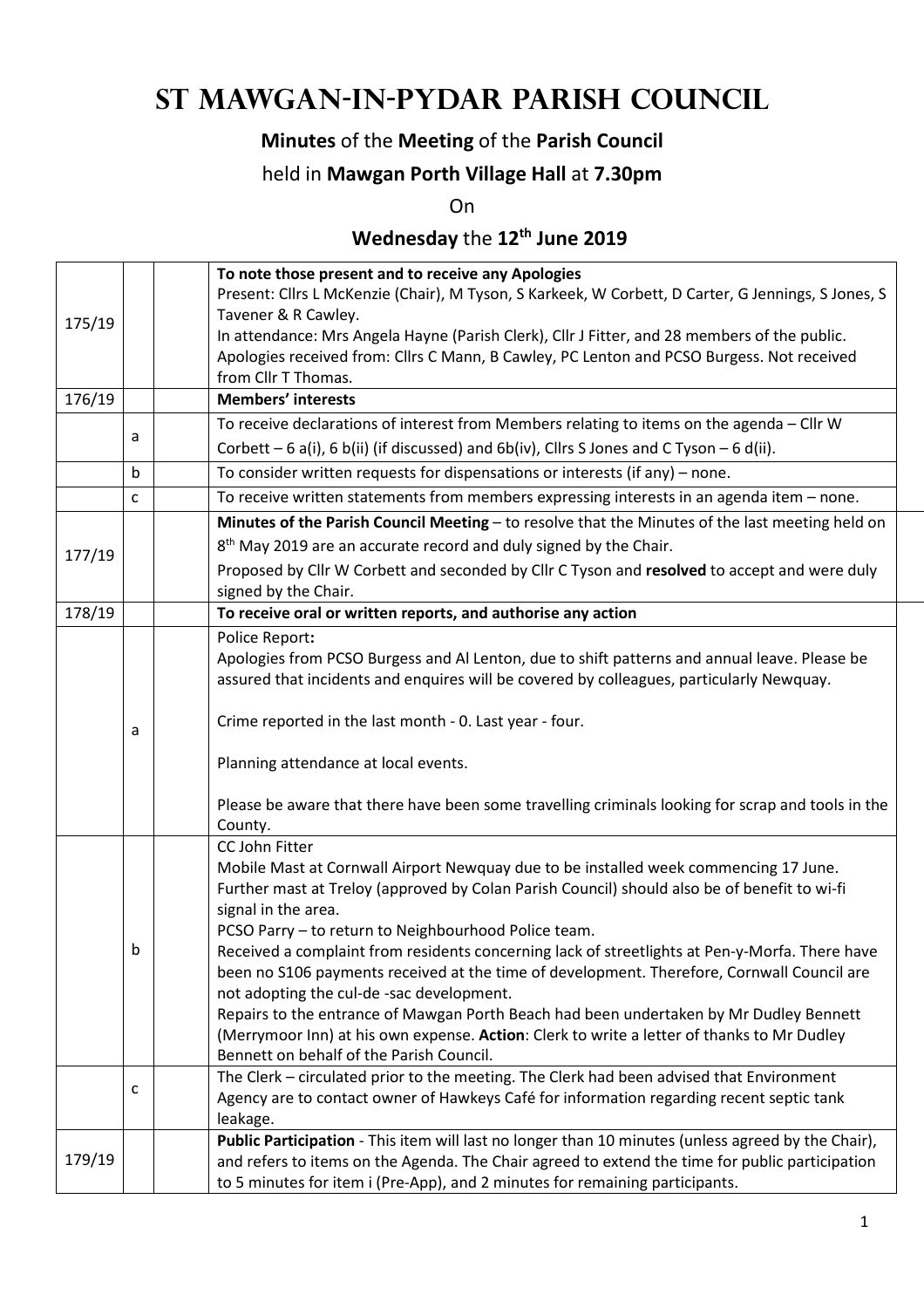# **St Mawgan-in-Pydar Parish Council**

### **Minutes** of the **Meeting** of the **Parish Council**

#### held in **Mawgan Porth Village Hall** at **7.30pm**

On

## **Wednesday** the **12th June 2019**

|        |                                                                                                 |  | To note those present and to receive any Apologies                                                 |  |  |  |
|--------|-------------------------------------------------------------------------------------------------|--|----------------------------------------------------------------------------------------------------|--|--|--|
|        |                                                                                                 |  | Present: Cllrs L McKenzie (Chair), M Tyson, S Karkeek, W Corbett, D Carter, G Jennings, S Jones, S |  |  |  |
| 175/19 |                                                                                                 |  | Tavener & R Cawley.                                                                                |  |  |  |
|        |                                                                                                 |  | In attendance: Mrs Angela Hayne (Parish Clerk), Cllr J Fitter, and 28 members of the public.       |  |  |  |
|        |                                                                                                 |  | Apologies received from: Cllrs C Mann, B Cawley, PC Lenton and PCSO Burgess. Not received          |  |  |  |
|        |                                                                                                 |  | from Cllr T Thomas.                                                                                |  |  |  |
| 176/19 |                                                                                                 |  | <b>Members' interests</b>                                                                          |  |  |  |
|        | a                                                                                               |  | To receive declarations of interest from Members relating to items on the agenda - Cllr W          |  |  |  |
|        |                                                                                                 |  | Corbett $-6$ a(i), 6 b(ii) (if discussed) and $6b(iv)$ , Cllrs S Jones and C Tyson $-6$ d(ii).     |  |  |  |
|        | b                                                                                               |  | To consider written requests for dispensations or interests (if any) - none.                       |  |  |  |
|        | $\mathsf{C}$                                                                                    |  | To receive written statements from members expressing interests in an agenda item - none.          |  |  |  |
|        | Minutes of the Parish Council Meeting - to resolve that the Minutes of the last meeting held on |  |                                                                                                    |  |  |  |
| 177/19 |                                                                                                 |  | 8 <sup>th</sup> May 2019 are an accurate record and duly signed by the Chair.                      |  |  |  |
|        |                                                                                                 |  | Proposed by Cllr W Corbett and seconded by Cllr C Tyson and resolved to accept and were duly       |  |  |  |
|        |                                                                                                 |  | signed by the Chair.                                                                               |  |  |  |
| 178/19 |                                                                                                 |  | To receive oral or written reports, and authorise any action                                       |  |  |  |
|        |                                                                                                 |  | Police Report:                                                                                     |  |  |  |
|        |                                                                                                 |  | Apologies from PCSO Burgess and Al Lenton, due to shift patterns and annual leave. Please be       |  |  |  |
|        |                                                                                                 |  | assured that incidents and enquires will be covered by colleagues, particularly Newquay.           |  |  |  |
|        |                                                                                                 |  |                                                                                                    |  |  |  |
|        | a                                                                                               |  | Crime reported in the last month - 0. Last year - four.                                            |  |  |  |
|        |                                                                                                 |  | Planning attendance at local events.                                                               |  |  |  |
|        |                                                                                                 |  |                                                                                                    |  |  |  |
|        |                                                                                                 |  | Please be aware that there have been some travelling criminals looking for scrap and tools in the  |  |  |  |
|        | County.                                                                                         |  |                                                                                                    |  |  |  |
|        |                                                                                                 |  | CC John Fitter                                                                                     |  |  |  |
|        |                                                                                                 |  | Mobile Mast at Cornwall Airport Newquay due to be installed week commencing 17 June.               |  |  |  |
|        |                                                                                                 |  | Further mast at Treloy (approved by Colan Parish Council) should also be of benefit to wi-fi       |  |  |  |
|        |                                                                                                 |  | signal in the area.                                                                                |  |  |  |
|        |                                                                                                 |  | PCSO Parry - to return to Neighbourhood Police team.                                               |  |  |  |
|        | b                                                                                               |  | Received a complaint from residents concerning lack of streetlights at Pen-y-Morfa. There have     |  |  |  |
|        |                                                                                                 |  | been no S106 payments received at the time of development. Therefore, Cornwall Council are         |  |  |  |
|        |                                                                                                 |  | not adopting the cul-de -sac development.                                                          |  |  |  |
|        |                                                                                                 |  | Repairs to the entrance of Mawgan Porth Beach had been undertaken by Mr Dudley Bennett             |  |  |  |
|        |                                                                                                 |  | (Merrymoor Inn) at his own expense. Action: Clerk to write a letter of thanks to Mr Dudley         |  |  |  |
|        |                                                                                                 |  | Bennett on behalf of the Parish Council.                                                           |  |  |  |
|        | c                                                                                               |  | The Clerk - circulated prior to the meeting. The Clerk had been advised that Environment           |  |  |  |
|        |                                                                                                 |  | Agency are to contact owner of Hawkeys Café for information regarding recent septic tank           |  |  |  |
|        |                                                                                                 |  | leakage.                                                                                           |  |  |  |
|        |                                                                                                 |  | Public Participation - This item will last no longer than 10 minutes (unless agreed by the Chair), |  |  |  |
| 179/19 |                                                                                                 |  | and refers to items on the Agenda. The Chair agreed to extend the time for public participation    |  |  |  |
|        |                                                                                                 |  | to 5 minutes for item i (Pre-App), and 2 minutes for remaining participants.                       |  |  |  |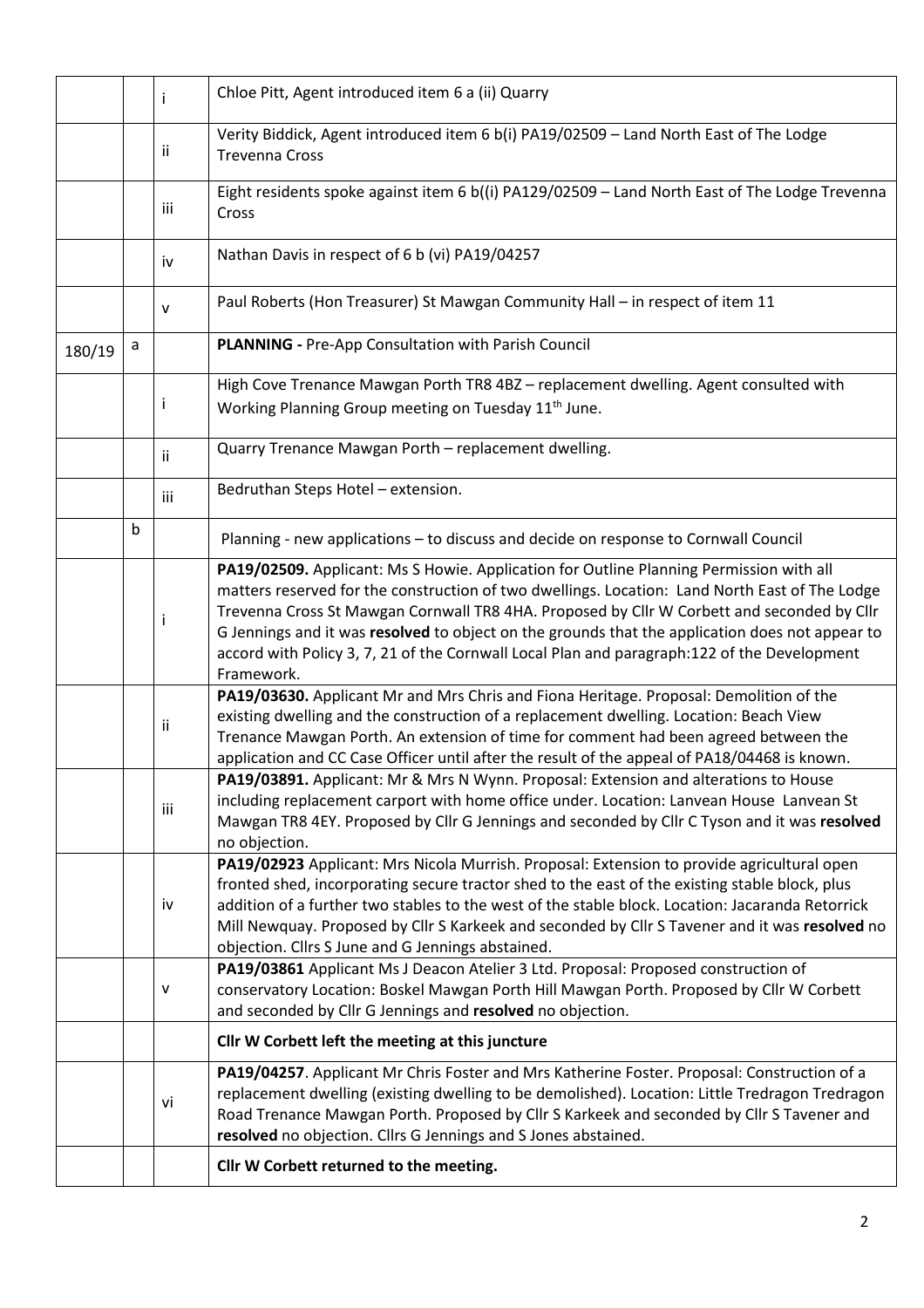|        |   | i            | Chloe Pitt, Agent introduced item 6 a (ii) Quarry                                                                                                                                                                                                                                                                                                                                                                                                                                                        |  |  |  |  |
|--------|---|--------------|----------------------------------------------------------------------------------------------------------------------------------------------------------------------------------------------------------------------------------------------------------------------------------------------------------------------------------------------------------------------------------------------------------------------------------------------------------------------------------------------------------|--|--|--|--|
|        |   | Ϊİ           | Verity Biddick, Agent introduced item 6 b(i) PA19/02509 - Land North East of The Lodge<br><b>Trevenna Cross</b>                                                                                                                                                                                                                                                                                                                                                                                          |  |  |  |  |
|        |   | iii          | Eight residents spoke against item 6 b((i) PA129/02509 - Land North East of The Lodge Trevenna<br>Cross                                                                                                                                                                                                                                                                                                                                                                                                  |  |  |  |  |
|        |   | iv           | Nathan Davis in respect of 6 b (vi) PA19/04257                                                                                                                                                                                                                                                                                                                                                                                                                                                           |  |  |  |  |
|        |   | $\mathsf{V}$ | Paul Roberts (Hon Treasurer) St Mawgan Community Hall - in respect of item 11                                                                                                                                                                                                                                                                                                                                                                                                                            |  |  |  |  |
| 180/19 | a |              | PLANNING - Pre-App Consultation with Parish Council                                                                                                                                                                                                                                                                                                                                                                                                                                                      |  |  |  |  |
|        |   | Ť            | High Cove Trenance Mawgan Porth TR8 4BZ - replacement dwelling. Agent consulted with<br>Working Planning Group meeting on Tuesday 11 <sup>th</sup> June.                                                                                                                                                                                                                                                                                                                                                 |  |  |  |  |
|        |   | ii.          | Quarry Trenance Mawgan Porth - replacement dwelling.                                                                                                                                                                                                                                                                                                                                                                                                                                                     |  |  |  |  |
|        |   | iii          | Bedruthan Steps Hotel - extension.                                                                                                                                                                                                                                                                                                                                                                                                                                                                       |  |  |  |  |
|        | b |              | Planning - new applications - to discuss and decide on response to Cornwall Council                                                                                                                                                                                                                                                                                                                                                                                                                      |  |  |  |  |
|        |   | Ť            | PA19/02509. Applicant: Ms S Howie. Application for Outline Planning Permission with all<br>matters reserved for the construction of two dwellings. Location: Land North East of The Lodge<br>Trevenna Cross St Mawgan Cornwall TR8 4HA. Proposed by Cllr W Corbett and seconded by Cllr<br>G Jennings and it was resolved to object on the grounds that the application does not appear to<br>accord with Policy 3, 7, 21 of the Cornwall Local Plan and paragraph: 122 of the Development<br>Framework. |  |  |  |  |
|        |   | ii           | PA19/03630. Applicant Mr and Mrs Chris and Fiona Heritage. Proposal: Demolition of the<br>existing dwelling and the construction of a replacement dwelling. Location: Beach View<br>Trenance Mawgan Porth. An extension of time for comment had been agreed between the<br>application and CC Case Officer until after the result of the appeal of PA18/04468 is known.                                                                                                                                  |  |  |  |  |
|        |   | iii          | PA19/03891. Applicant: Mr & Mrs N Wynn. Proposal: Extension and alterations to House<br>including replacement carport with home office under. Location: Lanvean House Lanvean St<br>Mawgan TR8 4EY. Proposed by Cllr G Jennings and seconded by Cllr C Tyson and it was resolved<br>no objection.                                                                                                                                                                                                        |  |  |  |  |
|        |   | iv           | PA19/02923 Applicant: Mrs Nicola Murrish. Proposal: Extension to provide agricultural open<br>fronted shed, incorporating secure tractor shed to the east of the existing stable block, plus<br>addition of a further two stables to the west of the stable block. Location: Jacaranda Retorrick<br>Mill Newquay. Proposed by Cllr S Karkeek and seconded by Cllr S Tavener and it was resolved no<br>objection. Cllrs S June and G Jennings abstained.                                                  |  |  |  |  |
|        |   | V            | PA19/03861 Applicant Ms J Deacon Atelier 3 Ltd. Proposal: Proposed construction of<br>conservatory Location: Boskel Mawgan Porth Hill Mawgan Porth. Proposed by Cllr W Corbett<br>and seconded by Cllr G Jennings and resolved no objection.                                                                                                                                                                                                                                                             |  |  |  |  |
|        |   |              | Cllr W Corbett left the meeting at this juncture                                                                                                                                                                                                                                                                                                                                                                                                                                                         |  |  |  |  |
|        |   | vi           | PA19/04257. Applicant Mr Chris Foster and Mrs Katherine Foster. Proposal: Construction of a<br>replacement dwelling (existing dwelling to be demolished). Location: Little Tredragon Tredragon<br>Road Trenance Mawgan Porth. Proposed by Cllr S Karkeek and seconded by Cllr S Tavener and<br>resolved no objection. Cllrs G Jennings and S Jones abstained.                                                                                                                                            |  |  |  |  |
|        |   |              | Cllr W Corbett returned to the meeting.                                                                                                                                                                                                                                                                                                                                                                                                                                                                  |  |  |  |  |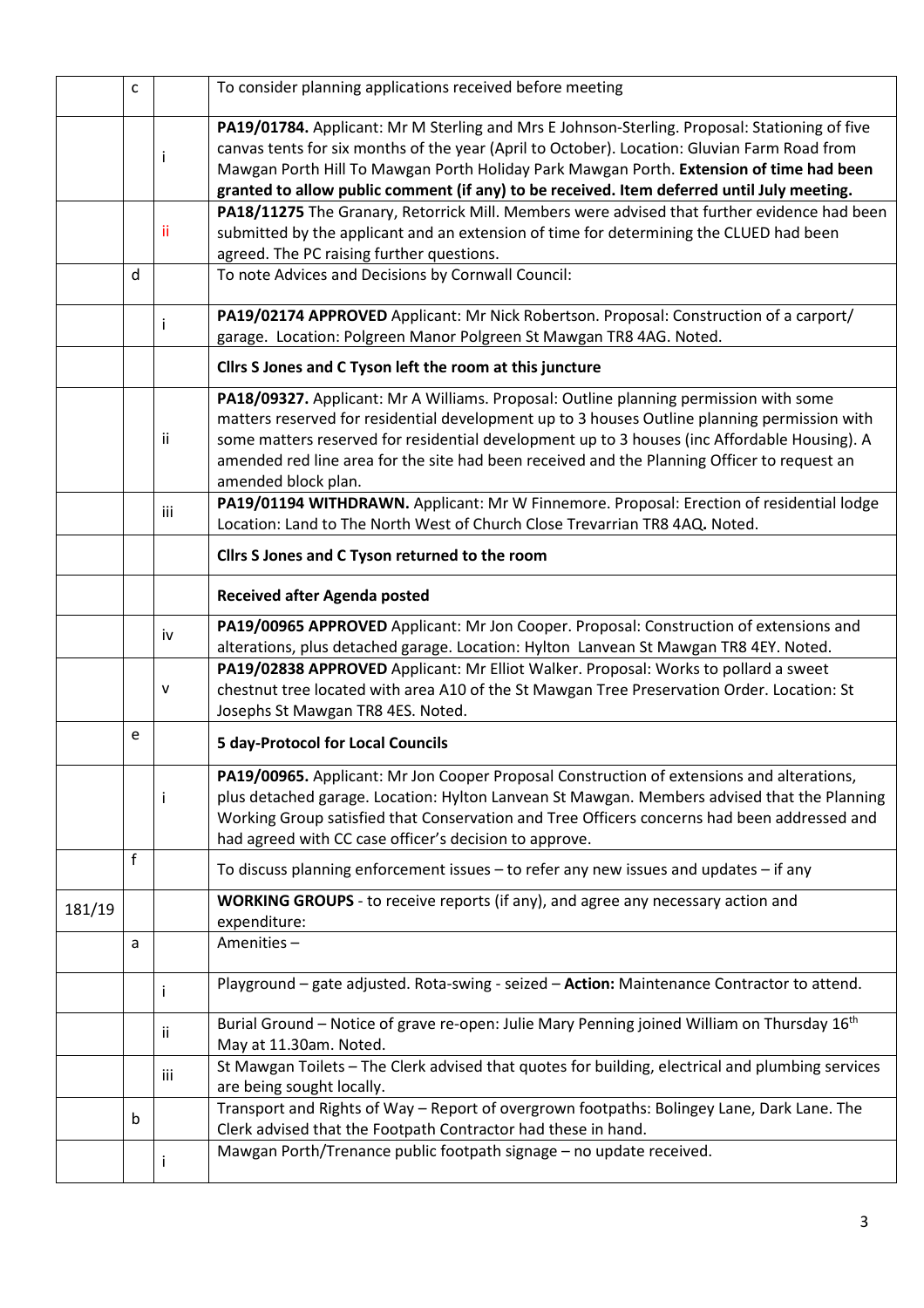|        | $\mathsf{C}$ |     | To consider planning applications received before meeting                                                                                                                                                                                                                                                                                                                              |
|--------|--------------|-----|----------------------------------------------------------------------------------------------------------------------------------------------------------------------------------------------------------------------------------------------------------------------------------------------------------------------------------------------------------------------------------------|
|        |              | İ   | PA19/01784. Applicant: Mr M Sterling and Mrs E Johnson-Sterling. Proposal: Stationing of five<br>canvas tents for six months of the year (April to October). Location: Gluvian Farm Road from<br>Mawgan Porth Hill To Mawgan Porth Holiday Park Mawgan Porth. Extension of time had been<br>granted to allow public comment (if any) to be received. Item deferred until July meeting. |
|        |              |     | PA18/11275 The Granary, Retorrick Mill. Members were advised that further evidence had been                                                                                                                                                                                                                                                                                            |
|        |              | ii. | submitted by the applicant and an extension of time for determining the CLUED had been<br>agreed. The PC raising further questions.                                                                                                                                                                                                                                                    |
|        | d            |     | To note Advices and Decisions by Cornwall Council:                                                                                                                                                                                                                                                                                                                                     |
|        |              |     | PA19/02174 APPROVED Applicant: Mr Nick Robertson. Proposal: Construction of a carport/                                                                                                                                                                                                                                                                                                 |
|        |              |     | garage. Location: Polgreen Manor Polgreen St Mawgan TR8 4AG. Noted.                                                                                                                                                                                                                                                                                                                    |
|        |              |     | Cllrs S Jones and C Tyson left the room at this juncture                                                                                                                                                                                                                                                                                                                               |
|        |              |     | PA18/09327. Applicant: Mr A Williams. Proposal: Outline planning permission with some                                                                                                                                                                                                                                                                                                  |
|        |              |     | matters reserved for residential development up to 3 houses Outline planning permission with                                                                                                                                                                                                                                                                                           |
|        |              | ii  | some matters reserved for residential development up to 3 houses (inc Affordable Housing). A                                                                                                                                                                                                                                                                                           |
|        |              |     | amended red line area for the site had been received and the Planning Officer to request an                                                                                                                                                                                                                                                                                            |
|        |              |     | amended block plan.                                                                                                                                                                                                                                                                                                                                                                    |
|        |              |     | PA19/01194 WITHDRAWN. Applicant: Mr W Finnemore. Proposal: Erection of residential lodge                                                                                                                                                                                                                                                                                               |
|        |              | iii | Location: Land to The North West of Church Close Trevarrian TR8 4AQ. Noted.                                                                                                                                                                                                                                                                                                            |
|        |              |     | Cllrs S Jones and C Tyson returned to the room                                                                                                                                                                                                                                                                                                                                         |
|        |              |     | <b>Received after Agenda posted</b>                                                                                                                                                                                                                                                                                                                                                    |
|        |              |     | PA19/00965 APPROVED Applicant: Mr Jon Cooper. Proposal: Construction of extensions and                                                                                                                                                                                                                                                                                                 |
|        |              | iv  | alterations, plus detached garage. Location: Hylton Lanvean St Mawgan TR8 4EY. Noted.                                                                                                                                                                                                                                                                                                  |
|        |              |     | PA19/02838 APPROVED Applicant: Mr Elliot Walker. Proposal: Works to pollard a sweet                                                                                                                                                                                                                                                                                                    |
|        |              | v   | chestnut tree located with area A10 of the St Mawgan Tree Preservation Order. Location: St                                                                                                                                                                                                                                                                                             |
|        |              |     | Josephs St Mawgan TR8 4ES. Noted.                                                                                                                                                                                                                                                                                                                                                      |
|        | e            |     | <b>5 day-Protocol for Local Councils</b>                                                                                                                                                                                                                                                                                                                                               |
|        |              |     | PA19/00965. Applicant: Mr Jon Cooper Proposal Construction of extensions and alterations,                                                                                                                                                                                                                                                                                              |
|        |              | Ť   | plus detached garage. Location: Hylton Lanvean St Mawgan. Members advised that the Planning                                                                                                                                                                                                                                                                                            |
|        |              |     | Working Group satisfied that Conservation and Tree Officers concerns had been addressed and                                                                                                                                                                                                                                                                                            |
|        |              |     | had agreed with CC case officer's decision to approve.                                                                                                                                                                                                                                                                                                                                 |
|        | f            |     |                                                                                                                                                                                                                                                                                                                                                                                        |
|        |              |     | To discuss planning enforcement issues - to refer any new issues and updates - if any                                                                                                                                                                                                                                                                                                  |
| 181/19 |              |     | WORKING GROUPS - to receive reports (if any), and agree any necessary action and                                                                                                                                                                                                                                                                                                       |
|        |              |     | expenditure:                                                                                                                                                                                                                                                                                                                                                                           |
|        | a            |     | Amenities-                                                                                                                                                                                                                                                                                                                                                                             |
|        |              |     | Playground - gate adjusted. Rota-swing - seized - Action: Maintenance Contractor to attend.                                                                                                                                                                                                                                                                                            |
|        |              |     | Burial Ground - Notice of grave re-open: Julie Mary Penning joined William on Thursday 16 <sup>th</sup>                                                                                                                                                                                                                                                                                |
|        |              | ii. | May at 11.30am. Noted.                                                                                                                                                                                                                                                                                                                                                                 |
|        |              |     | St Mawgan Toilets - The Clerk advised that quotes for building, electrical and plumbing services                                                                                                                                                                                                                                                                                       |
|        |              | iii | are being sought locally.                                                                                                                                                                                                                                                                                                                                                              |
|        |              |     | Transport and Rights of Way - Report of overgrown footpaths: Bolingey Lane, Dark Lane. The                                                                                                                                                                                                                                                                                             |
|        | b            |     | Clerk advised that the Footpath Contractor had these in hand.                                                                                                                                                                                                                                                                                                                          |
|        |              |     | Mawgan Porth/Trenance public footpath signage - no update received.                                                                                                                                                                                                                                                                                                                    |
|        |              |     |                                                                                                                                                                                                                                                                                                                                                                                        |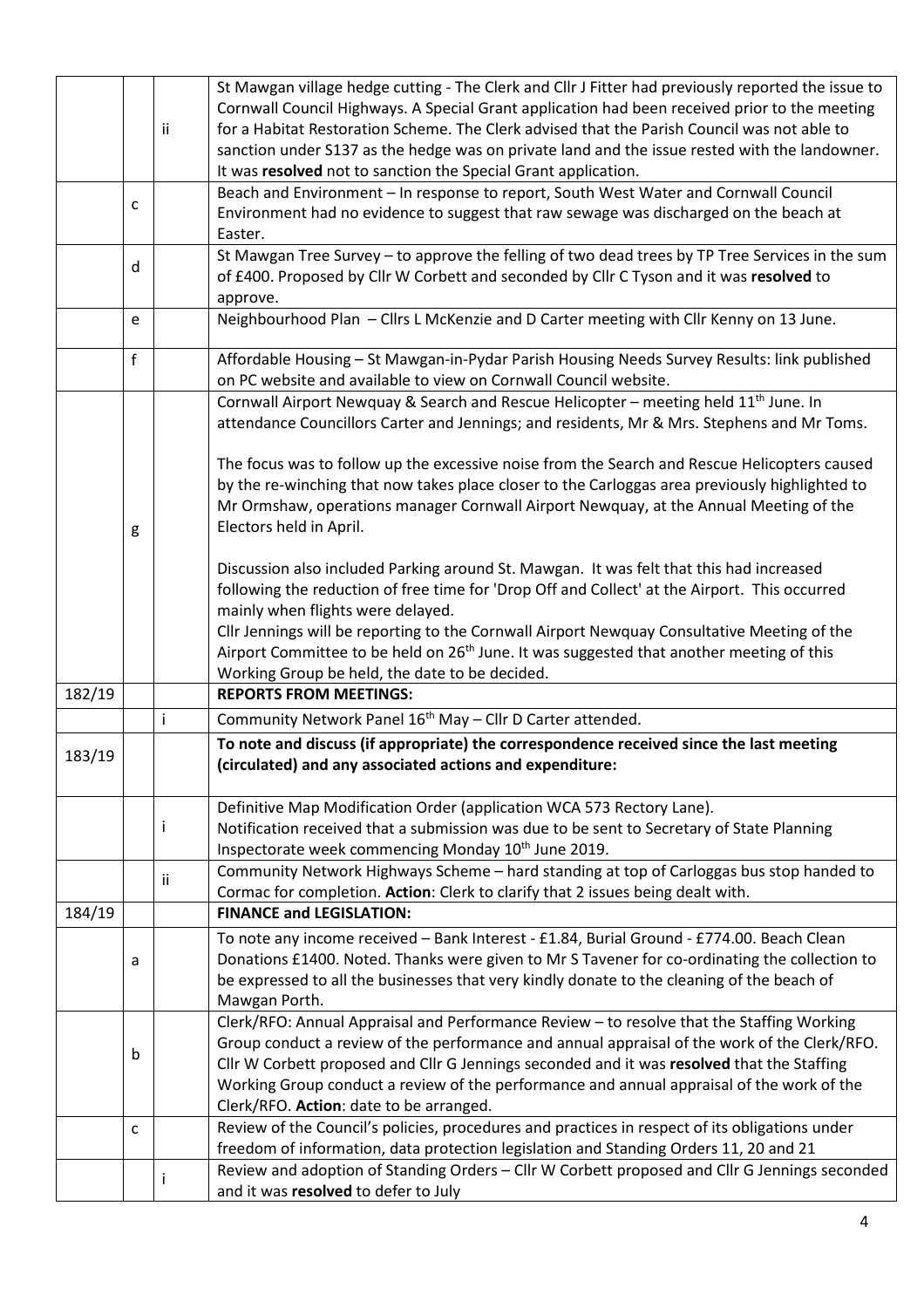|        |                                                                                            |     | St Mawgan village hedge cutting - The Clerk and Cllr J Fitter had previously reported the issue to                                                                                           |  |  |  |  |  |
|--------|--------------------------------------------------------------------------------------------|-----|----------------------------------------------------------------------------------------------------------------------------------------------------------------------------------------------|--|--|--|--|--|
|        |                                                                                            |     | Cornwall Council Highways. A Special Grant application had been received prior to the meeting                                                                                                |  |  |  |  |  |
|        |                                                                                            | ii. | for a Habitat Restoration Scheme. The Clerk advised that the Parish Council was not able to<br>sanction under S137 as the hedge was on private land and the issue rested with the landowner. |  |  |  |  |  |
|        |                                                                                            |     |                                                                                                                                                                                              |  |  |  |  |  |
|        |                                                                                            |     | It was resolved not to sanction the Special Grant application.                                                                                                                               |  |  |  |  |  |
|        | C                                                                                          |     | Beach and Environment - In response to report, South West Water and Cornwall Council                                                                                                         |  |  |  |  |  |
|        |                                                                                            |     | Environment had no evidence to suggest that raw sewage was discharged on the beach at                                                                                                        |  |  |  |  |  |
|        |                                                                                            |     | Easter.                                                                                                                                                                                      |  |  |  |  |  |
|        | d                                                                                          |     | St Mawgan Tree Survey - to approve the felling of two dead trees by TP Tree Services in the sum                                                                                              |  |  |  |  |  |
|        |                                                                                            |     | of £400. Proposed by Cllr W Corbett and seconded by Cllr C Tyson and it was resolved to                                                                                                      |  |  |  |  |  |
|        |                                                                                            |     | approve.                                                                                                                                                                                     |  |  |  |  |  |
|        | e                                                                                          |     | Neighbourhood Plan - Cllrs L McKenzie and D Carter meeting with Cllr Kenny on 13 June.                                                                                                       |  |  |  |  |  |
|        | f                                                                                          |     | Affordable Housing - St Mawgan-in-Pydar Parish Housing Needs Survey Results: link published                                                                                                  |  |  |  |  |  |
|        |                                                                                            |     | on PC website and available to view on Cornwall Council website.                                                                                                                             |  |  |  |  |  |
|        |                                                                                            |     | Cornwall Airport Newquay & Search and Rescue Helicopter - meeting held 11 <sup>th</sup> June. In                                                                                             |  |  |  |  |  |
|        | attendance Councillors Carter and Jennings; and residents, Mr & Mrs. Stephens and Mr Toms. |     |                                                                                                                                                                                              |  |  |  |  |  |
|        |                                                                                            |     |                                                                                                                                                                                              |  |  |  |  |  |
|        |                                                                                            |     | The focus was to follow up the excessive noise from the Search and Rescue Helicopters caused                                                                                                 |  |  |  |  |  |
|        |                                                                                            |     | by the re-winching that now takes place closer to the Carloggas area previously highlighted to                                                                                               |  |  |  |  |  |
|        |                                                                                            |     | Mr Ormshaw, operations manager Cornwall Airport Newquay, at the Annual Meeting of the                                                                                                        |  |  |  |  |  |
|        | g                                                                                          |     | Electors held in April.                                                                                                                                                                      |  |  |  |  |  |
|        |                                                                                            |     |                                                                                                                                                                                              |  |  |  |  |  |
|        |                                                                                            |     | Discussion also included Parking around St. Mawgan. It was felt that this had increased                                                                                                      |  |  |  |  |  |
|        |                                                                                            |     | following the reduction of free time for 'Drop Off and Collect' at the Airport. This occurred                                                                                                |  |  |  |  |  |
|        |                                                                                            |     | mainly when flights were delayed.                                                                                                                                                            |  |  |  |  |  |
|        |                                                                                            |     | Cllr Jennings will be reporting to the Cornwall Airport Newquay Consultative Meeting of the                                                                                                  |  |  |  |  |  |
|        |                                                                                            |     |                                                                                                                                                                                              |  |  |  |  |  |
|        |                                                                                            |     |                                                                                                                                                                                              |  |  |  |  |  |
|        |                                                                                            |     | Airport Committee to be held on 26 <sup>th</sup> June. It was suggested that another meeting of this                                                                                         |  |  |  |  |  |
| 182/19 |                                                                                            |     | Working Group be held, the date to be decided.<br><b>REPORTS FROM MEETINGS:</b>                                                                                                              |  |  |  |  |  |
|        |                                                                                            | j   |                                                                                                                                                                                              |  |  |  |  |  |
|        |                                                                                            |     | Community Network Panel 16 <sup>th</sup> May - Cllr D Carter attended.                                                                                                                       |  |  |  |  |  |
| 183/19 |                                                                                            |     | To note and discuss (if appropriate) the correspondence received since the last meeting                                                                                                      |  |  |  |  |  |
|        |                                                                                            |     | (circulated) and any associated actions and expenditure:                                                                                                                                     |  |  |  |  |  |
|        |                                                                                            |     | Definitive Map Modification Order (application WCA 573 Rectory Lane).                                                                                                                        |  |  |  |  |  |
|        |                                                                                            | Ť   | Notification received that a submission was due to be sent to Secretary of State Planning                                                                                                    |  |  |  |  |  |
|        |                                                                                            |     | Inspectorate week commencing Monday 10 <sup>th</sup> June 2019.                                                                                                                              |  |  |  |  |  |
|        |                                                                                            |     | Community Network Highways Scheme - hard standing at top of Carloggas bus stop handed to                                                                                                     |  |  |  |  |  |
|        |                                                                                            | ii. | Cormac for completion. Action: Clerk to clarify that 2 issues being dealt with.                                                                                                              |  |  |  |  |  |
| 184/19 |                                                                                            |     | <b>FINANCE and LEGISLATION:</b>                                                                                                                                                              |  |  |  |  |  |
|        |                                                                                            |     | To note any income received - Bank Interest - £1.84, Burial Ground - £774.00. Beach Clean                                                                                                    |  |  |  |  |  |
|        | a                                                                                          |     | Donations £1400. Noted. Thanks were given to Mr S Tavener for co-ordinating the collection to                                                                                                |  |  |  |  |  |
|        |                                                                                            |     | be expressed to all the businesses that very kindly donate to the cleaning of the beach of                                                                                                   |  |  |  |  |  |
|        |                                                                                            |     | Mawgan Porth.                                                                                                                                                                                |  |  |  |  |  |
|        |                                                                                            |     | Clerk/RFO: Annual Appraisal and Performance Review - to resolve that the Staffing Working                                                                                                    |  |  |  |  |  |
|        |                                                                                            |     | Group conduct a review of the performance and annual appraisal of the work of the Clerk/RFO.                                                                                                 |  |  |  |  |  |
|        | b                                                                                          |     | Cllr W Corbett proposed and Cllr G Jennings seconded and it was resolved that the Staffing                                                                                                   |  |  |  |  |  |
|        |                                                                                            |     | Working Group conduct a review of the performance and annual appraisal of the work of the                                                                                                    |  |  |  |  |  |
|        |                                                                                            |     | Clerk/RFO. Action: date to be arranged.                                                                                                                                                      |  |  |  |  |  |
|        | C                                                                                          |     | Review of the Council's policies, procedures and practices in respect of its obligations under                                                                                               |  |  |  |  |  |
|        |                                                                                            |     | freedom of information, data protection legislation and Standing Orders 11, 20 and 21                                                                                                        |  |  |  |  |  |
|        |                                                                                            |     | Review and adoption of Standing Orders - Cllr W Corbett proposed and Cllr G Jennings seconded<br>and it was resolved to defer to July                                                        |  |  |  |  |  |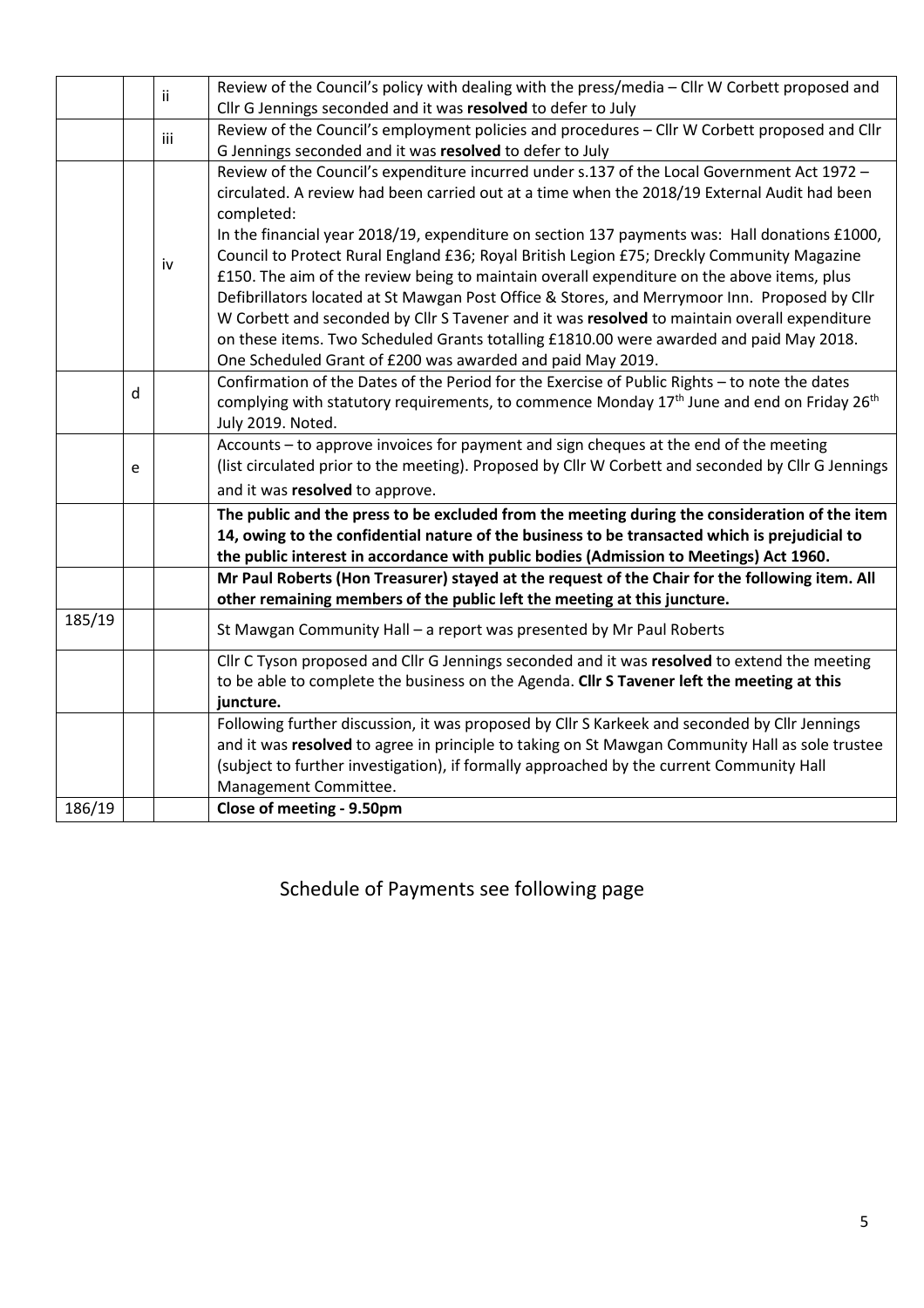|        | ii. | Review of the Council's policy with dealing with the press/media - Cllr W Corbett proposed and |                                                                                                                    |  |  |  |  |  |
|--------|-----|------------------------------------------------------------------------------------------------|--------------------------------------------------------------------------------------------------------------------|--|--|--|--|--|
|        |     |                                                                                                | Cllr G Jennings seconded and it was resolved to defer to July                                                      |  |  |  |  |  |
|        |     | iii                                                                                            | Review of the Council's employment policies and procedures - Cllr W Corbett proposed and Cllr                      |  |  |  |  |  |
|        |     |                                                                                                | G Jennings seconded and it was resolved to defer to July                                                           |  |  |  |  |  |
|        |     |                                                                                                | Review of the Council's expenditure incurred under s.137 of the Local Government Act 1972 -                        |  |  |  |  |  |
|        |     |                                                                                                | circulated. A review had been carried out at a time when the 2018/19 External Audit had been                       |  |  |  |  |  |
|        |     | iv                                                                                             | completed:                                                                                                         |  |  |  |  |  |
|        |     |                                                                                                | In the financial year 2018/19, expenditure on section 137 payments was: Hall donations £1000,                      |  |  |  |  |  |
|        |     |                                                                                                | Council to Protect Rural England £36; Royal British Legion £75; Dreckly Community Magazine                         |  |  |  |  |  |
|        |     |                                                                                                | £150. The aim of the review being to maintain overall expenditure on the above items, plus                         |  |  |  |  |  |
|        |     |                                                                                                | Defibrillators located at St Mawgan Post Office & Stores, and Merrymoor Inn. Proposed by Cllr                      |  |  |  |  |  |
|        |     |                                                                                                | W Corbett and seconded by Cllr S Tavener and it was resolved to maintain overall expenditure                       |  |  |  |  |  |
|        |     |                                                                                                | on these items. Two Scheduled Grants totalling £1810.00 were awarded and paid May 2018.                            |  |  |  |  |  |
|        |     |                                                                                                | One Scheduled Grant of £200 was awarded and paid May 2019.                                                         |  |  |  |  |  |
|        |     |                                                                                                | Confirmation of the Dates of the Period for the Exercise of Public Rights - to note the dates                      |  |  |  |  |  |
|        | d   |                                                                                                | complying with statutory requirements, to commence Monday 17 <sup>th</sup> June and end on Friday 26 <sup>th</sup> |  |  |  |  |  |
|        |     |                                                                                                | July 2019. Noted.                                                                                                  |  |  |  |  |  |
|        |     |                                                                                                | Accounts – to approve invoices for payment and sign cheques at the end of the meeting                              |  |  |  |  |  |
|        | e   |                                                                                                | (list circulated prior to the meeting). Proposed by Cllr W Corbett and seconded by Cllr G Jennings                 |  |  |  |  |  |
|        |     |                                                                                                | and it was resolved to approve.                                                                                    |  |  |  |  |  |
|        |     |                                                                                                | The public and the press to be excluded from the meeting during the consideration of the item                      |  |  |  |  |  |
|        |     |                                                                                                | 14, owing to the confidential nature of the business to be transacted which is prejudicial to                      |  |  |  |  |  |
|        |     |                                                                                                | the public interest in accordance with public bodies (Admission to Meetings) Act 1960.                             |  |  |  |  |  |
|        |     |                                                                                                | Mr Paul Roberts (Hon Treasurer) stayed at the request of the Chair for the following item. All                     |  |  |  |  |  |
|        |     |                                                                                                | other remaining members of the public left the meeting at this juncture.                                           |  |  |  |  |  |
| 185/19 |     |                                                                                                | St Mawgan Community Hall - a report was presented by Mr Paul Roberts                                               |  |  |  |  |  |
|        |     |                                                                                                | Cllr C Tyson proposed and Cllr G Jennings seconded and it was resolved to extend the meeting                       |  |  |  |  |  |
|        |     |                                                                                                | to be able to complete the business on the Agenda. Cllr S Tavener left the meeting at this                         |  |  |  |  |  |
|        |     |                                                                                                | juncture.                                                                                                          |  |  |  |  |  |
|        |     |                                                                                                | Following further discussion, it was proposed by Cllr S Karkeek and seconded by Cllr Jennings                      |  |  |  |  |  |
|        |     |                                                                                                | and it was resolved to agree in principle to taking on St Mawgan Community Hall as sole trustee                    |  |  |  |  |  |
|        |     |                                                                                                | (subject to further investigation), if formally approached by the current Community Hall                           |  |  |  |  |  |
|        |     |                                                                                                | Management Committee.                                                                                              |  |  |  |  |  |
| 186/19 |     |                                                                                                | Close of meeting - 9.50pm                                                                                          |  |  |  |  |  |

Schedule of Payments see following page